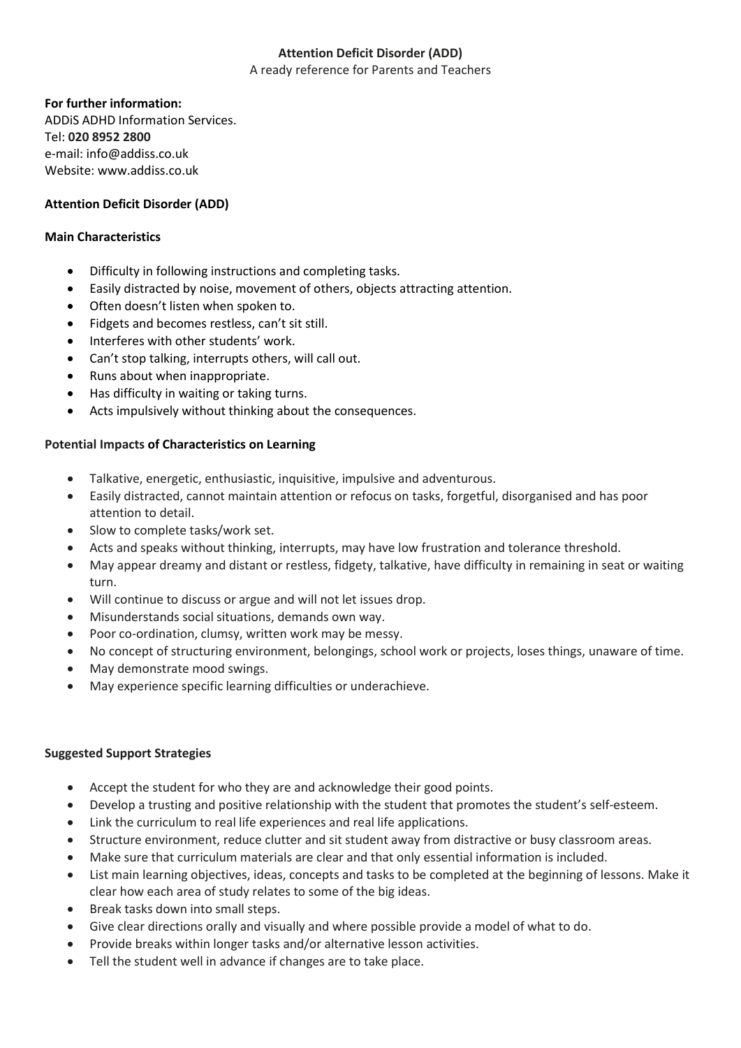# **Attention Deficit Disorder (ADD)**

A ready reference for Parents and Teachers

### **For further information:**

ADDiS ADHD Information Services. Tel: **020 8952 2800** e-mail: info@addiss.co.uk Website: www.addiss.co.uk

# **Attention Deficit Disorder (ADD)**

### **Main Characteristics**

- Difficulty in following instructions and completing tasks.
- Easily distracted by noise, movement of others, objects attracting attention.
- Often doesn't listen when spoken to.
- Fidgets and becomes restless, can't sit still.
- Interferes with other students' work.
- Can't stop talking, interrupts others, will call out.
- Runs about when inappropriate.
- Has difficulty in waiting or taking turns.
- Acts impulsively without thinking about the consequences.

# **Potential Impacts of Characteristics on Learning**

- Talkative, energetic, enthusiastic, inquisitive, impulsive and adventurous.
- Easily distracted, cannot maintain attention or refocus on tasks, forgetful, disorganised and has poor attention to detail.
- Slow to complete tasks/work set.
- Acts and speaks without thinking, interrupts, may have low frustration and tolerance threshold.
- May appear dreamy and distant or restless, fidgety, talkative, have difficulty in remaining in seat or waiting turn.
- Will continue to discuss or argue and will not let issues drop.
- Misunderstands social situations, demands own way.
- Poor co-ordination, clumsy, written work may be messy.
- No concept of structuring environment, belongings, school work or projects, loses things, unaware of time.
- May demonstrate mood swings.
- May experience specific learning difficulties or underachieve.

# **Suggested Support Strategies**

- Accept the student for who they are and acknowledge their good points.
- Develop a trusting and positive relationship with the student that promotes the student's self-esteem.
- Link the curriculum to real life experiences and real life applications.
- Structure environment, reduce clutter and sit student away from distractive or busy classroom areas.
- Make sure that curriculum materials are clear and that only essential information is included.
- List main learning objectives, ideas, concepts and tasks to be completed at the beginning of lessons. Make it clear how each area of study relates to some of the big ideas.
- Break tasks down into small steps.
- Give clear directions orally and visually and where possible provide a model of what to do.
- Provide breaks within longer tasks and/or alternative lesson activities.
- Tell the student well in advance if changes are to take place.